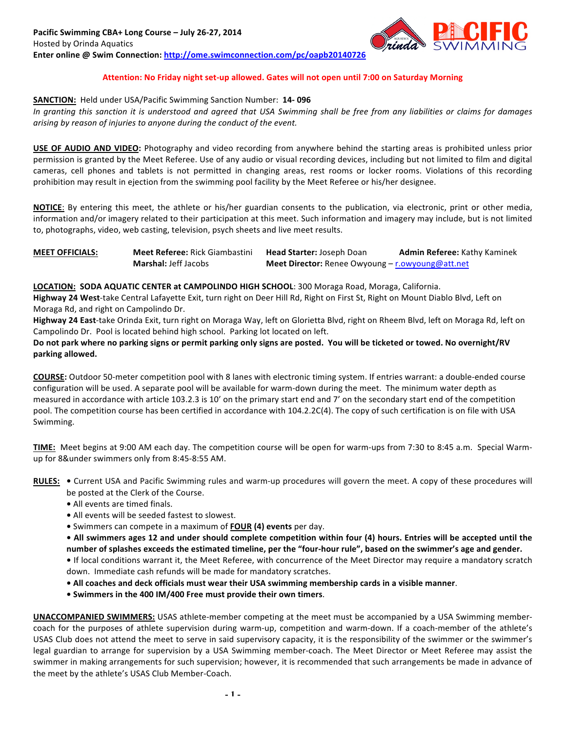

### Attention: No Friday night set-up allowed. Gates will not open until 7:00 on Saturday Morning

#### **SANCTION:** Held under USA/Pacific Swimming Sanction Number: **14-096**

In granting this sanction it is understood and agreed that USA Swimming shall be free from any liabilities or claims for damages arising by reason of injuries to anyone during the conduct of the event.

**USE OF AUDIO AND VIDEO:** Photography and video recording from anywhere behind the starting areas is prohibited unless prior permission is granted by the Meet Referee. Use of any audio or visual recording devices, including but not limited to film and digital cameras, cell phones and tablets is not permitted in changing areas, rest rooms or locker rooms. Violations of this recording prohibition may result in ejection from the swimming pool facility by the Meet Referee or his/her designee.

**NOTICE**: By entering this meet, the athlete or his/her guardian consents to the publication, via electronic, print or other media, information and/or imagery related to their participation at this meet. Such information and imagery may include, but is not limited to, photographs, video, web casting, television, psych sheets and live meet results.

| <b>MEET OFFICIALS:</b> | <b>Meet Referee: Rick Giambastini</b> | <b>Head Starter: Joseph Doan</b>                 | <b>Admin Referee: Kathy Kaminek</b> |  |  |  |  |
|------------------------|---------------------------------------|--------------------------------------------------|-------------------------------------|--|--|--|--|
|                        | <b>Marshal: Jeff Jacobs</b>           | Meet Director: Renee Owyoung - r.owyoung@att.net |                                     |  |  |  |  |

LOCATION: SODA AQUATIC CENTER at CAMPOLINDO HIGH SCHOOL: 300 Moraga Road, Moraga, California.

**Highway 24 West**-take Central Lafayette Exit, turn right on Deer Hill Rd, Right on First St, Right on Mount Diablo Blvd, Left on Moraga Rd, and right on Campolindo Dr.

**Highway 24 East-**take Orinda Exit, turn right on Moraga Way, left on Glorietta Blvd, right on Rheem Blvd, left on Moraga Rd, left on Campolindo Dr. Pool is located behind high school. Parking lot located on left.

Do not park where no parking signs or permit parking only signs are posted. You will be ticketed or towed. No overnight/RV **parking allowed.**

**COURSE:** Outdoor 50-meter competition pool with 8 lanes with electronic timing system. If entries warrant: a double-ended course configuration will be used. A separate pool will be available for warm-down during the meet. The minimum water depth as measured in accordance with article 103.2.3 is 10' on the primary start end and 7' on the secondary start end of the competition pool. The competition course has been certified in accordance with 104.2.2C(4). The copy of such certification is on file with USA Swimming.

TIME: Meet begins at 9:00 AM each day. The competition course will be open for warm-ups from 7:30 to 8:45 a.m. Special Warmup for 8&under swimmers only from 8:45-8:55 AM.

**RULES:** • Current USA and Pacific Swimming rules and warm-up procedures will govern the meet. A copy of these procedures will be posted at the Clerk of the Course.

- All events are timed finals.
- All events will be seeded fastest to slowest.
- Swimmers can compete in a maximum of **FOUR** (4) events per day.

• All swimmers ages 12 and under should complete competition within four (4) hours. Entries will be accepted until the number of splashes exceeds the estimated timeline, per the "four-hour rule", based on the swimmer's age and gender.

• If local conditions warrant it, the Meet Referee, with concurrence of the Meet Director may require a mandatory scratch down. Immediate cash refunds will be made for mandatory scratches.

- All coaches and deck officials must wear their USA swimming membership cards in a visible manner.
- Swimmers in the 400 IM/400 Free must provide their own timers.

**UNACCOMPANIED SWIMMERS:** USAS athlete-member competing at the meet must be accompanied by a USA Swimming membercoach for the purposes of athlete supervision during warm-up, competition and warm-down. If a coach-member of the athlete's USAS Club does not attend the meet to serve in said supervisory capacity, it is the responsibility of the swimmer or the swimmer's legal guardian to arrange for supervision by a USA Swimming member-coach. The Meet Director or Meet Referee may assist the swimmer in making arrangements for such supervision; however, it is recommended that such arrangements be made in advance of the meet by the athlete's USAS Club Member-Coach.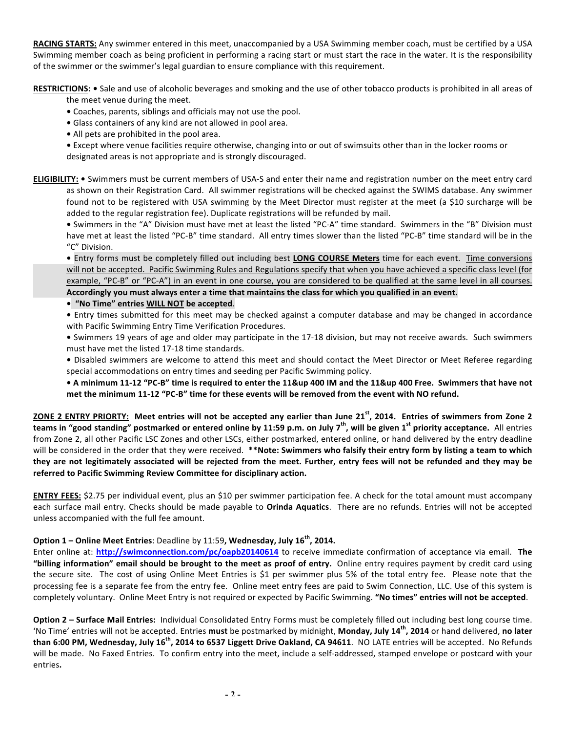**RACING STARTS:** Any swimmer entered in this meet, unaccompanied by a USA Swimming member coach, must be certified by a USA Swimming member coach as being proficient in performing a racing start or must start the race in the water. It is the responsibility of the swimmer or the swimmer's legal guardian to ensure compliance with this requirement.

RESTRICTIONS: . Sale and use of alcoholic beverages and smoking and the use of other tobacco products is prohibited in all areas of

- the meet venue during the meet.
- Coaches, parents, siblings and officials may not use the pool.
- Glass containers of any kind are not allowed in pool area.
- All pets are prohibited in the pool area.

• Except where venue facilities require otherwise, changing into or out of swimsuits other than in the locker rooms or designated areas is not appropriate and is strongly discouraged.

**ELIGIBILITY:** • Swimmers must be current members of USA-S and enter their name and registration number on the meet entry card as shown on their Registration Card. All swimmer registrations will be checked against the SWIMS database. Any swimmer found not to be registered with USA swimming by the Meet Director must register at the meet (a \$10 surcharge will be added to the regular registration fee). Duplicate registrations will be refunded by mail.

• Swimmers in the "A" Division must have met at least the listed "PC-A" time standard. Swimmers in the "B" Division must have met at least the listed "PC-B" time standard. All entry times slower than the listed "PC-B" time standard will be in the "C" Division.

• Entry forms must be completely filled out including best **LONG COURSE Meters** time for each event. Time conversions will not be accepted. Pacific Swimming Rules and Regulations specify that when you have achieved a specific class level (for example, "PC-B" or "PC-A") in an event in one course, you are considered to be qualified at the same level in all courses. Accordingly you must always enter a time that maintains the class for which you qualified in an event.

**• "No Time" entries WILL NOT be accepted**. 

• Entry times submitted for this meet may be checked against a computer database and may be changed in accordance with Pacific Swimming Entry Time Verification Procedures.

• Swimmers 19 years of age and older may participate in the 17-18 division, but may not receive awards. Such swimmers must have met the listed 17-18 time standards.

• Disabled swimmers are welcome to attend this meet and should contact the Meet Director or Meet Referee regarding special accommodations on entry times and seeding per Pacific Swimming policy.

• A minimum 11-12 "PC-B" time is required to enter the 11&up 400 IM and the 11&up 400 Free. Swimmers that have not met the minimum 11-12 "PC-B" time for these events will be removed from the event with NO refund.

ZONE 2 ENTRY PRIORTY: Meet entries will not be accepted any earlier than June 21<sup>st</sup>, 2014. Entries of swimmers from Zone 2 **teams in "good standing" postmarked or entered online by 11:59 p.m. on July 7<sup>th</sup>, will be given 1<sup>st</sup> priority acceptance. All entries** from Zone 2, all other Pacific LSC Zones and other LSCs, either postmarked, entered online, or hand delivered by the entry deadline will be considered in the order that they were received. \*\*Note: Swimmers who falsify their entry form by listing a team to which they are not legitimately associated will be rejected from the meet. Further, entry fees will not be refunded and they may be referred to Pacific Swimming Review Committee for disciplinary action.

**ENTRY FEES:** \$2.75 per individual event, plus an \$10 per swimmer participation fee. A check for the total amount must accompany each surface mail entry. Checks should be made payable to **Orinda Aquatics**. There are no refunds. Entries will not be accepted unless accompanied with the full fee amount.

# **Option 1** – Online Meet Entries: Deadline by 11:59, Wednesday, July 16<sup>th</sup>, 2014.

Enter online at: **http://swimconnection.com/pc/oapb20140614** to receive immediate confirmation of acceptance via email. The "billing information" email should be brought to the meet as proof of entry. Online entry requires payment by credit card using the secure site. The cost of using Online Meet Entries is \$1 per swimmer plus 5% of the total entry fee. Please note that the processing fee is a separate fee from the entry fee. Online meet entry fees are paid to Swim Connection, LLC. Use of this system is completely voluntary. Online Meet Entry is not required or expected by Pacific Swimming. "No times" entries will not be accepted.

**Option 2 - Surface Mail Entries:** Individual Consolidated Entry Forms must be completely filled out including best long course time. 'No Time' entries will not be accepted. Entries must be postmarked by midnight, Monday, July 14<sup>th</sup>, 2014 or hand delivered, no later **than 6:00 PM, Wednesday, July 16<sup>th</sup>, 2014 to 6537 Liggett Drive Oakland, CA 94611. NO LATE entries will be accepted. No Refunds** will be made. No Faxed Entries. To confirm entry into the meet, include a self-addressed, stamped envelope or postcard with your entries**.**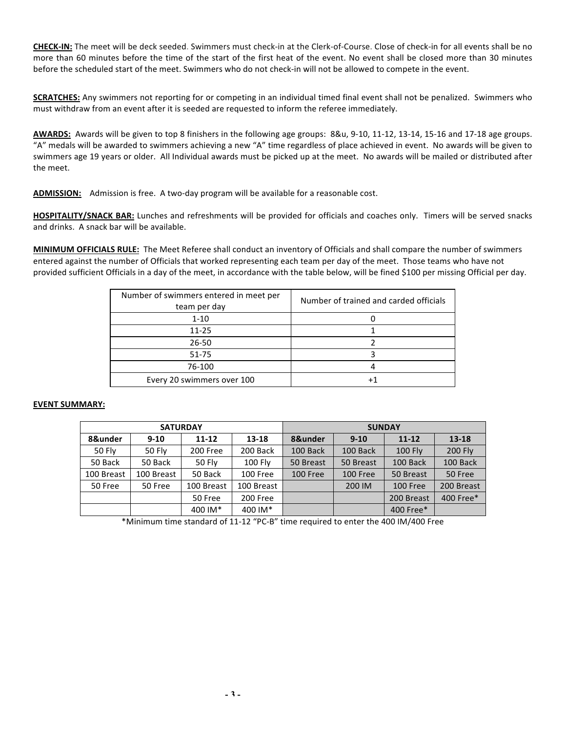**CHECK-IN:** The meet will be deck seeded. Swimmers must check-in at the Clerk-of-Course. Close of check-in for all events shall be no more than 60 minutes before the time of the start of the first heat of the event. No event shall be closed more than 30 minutes before the scheduled start of the meet. Swimmers who do not check-in will not be allowed to compete in the event.

**SCRATCHES:** Any swimmers not reporting for or competing in an individual timed final event shall not be penalized. Swimmers who must withdraw from an event after it is seeded are requested to inform the referee immediately.

AWARDS: Awards will be given to top 8 finishers in the following age groups: 8&u, 9-10, 11-12, 13-14, 15-16 and 17-18 age groups. "A" medals will be awarded to swimmers achieving a new "A" time regardless of place achieved in event. No awards will be given to swimmers age 19 years or older. All Individual awards must be picked up at the meet. No awards will be mailed or distributed after the meet.

ADMISSION: Admission is free. A two-day program will be available for a reasonable cost.

HOSPITALITY/SNACK BAR: Lunches and refreshments will be provided for officials and coaches only. Timers will be served snacks and drinks. A snack bar will be available.

**MINIMUM OFFICIALS RULE:** The Meet Referee shall conduct an inventory of Officials and shall compare the number of swimmers entered against the number of Officials that worked representing each team per day of the meet. Those teams who have not provided sufficient Officials in a day of the meet, in accordance with the table below, will be fined \$100 per missing Official per day.

| Number of swimmers entered in meet per<br>team per day | Number of trained and carded officials |
|--------------------------------------------------------|----------------------------------------|
| $1 - 10$                                               |                                        |
| $11 - 25$                                              |                                        |
| 26-50                                                  |                                        |
| 51-75                                                  |                                        |
| 76-100                                                 |                                        |
| Every 20 swimmers over 100                             |                                        |

### **EVENT SUMMARY:**

|               |               | <b>SATURDAY</b> |                | <b>SUNDAY</b> |                 |                |                |  |  |  |  |
|---------------|---------------|-----------------|----------------|---------------|-----------------|----------------|----------------|--|--|--|--|
| 8&under       | $9 - 10$      | $11 - 12$       | $13 - 18$      | 8&under       | $9 - 10$        | $11 - 12$      | $13 - 18$      |  |  |  |  |
| <b>50 Fly</b> | <b>50 Fly</b> | 200 Free        | 200 Back       | 100 Back      | 100 Back        | <b>100 Fly</b> | <b>200 Fly</b> |  |  |  |  |
| 50 Back       | 50 Back       | 50 Fly          | <b>100 Fly</b> | 50 Breast     | 50 Breast       | 100 Back       | 100 Back       |  |  |  |  |
| 100 Breast    | 100 Breast    | 50 Back         | 100 Free       | 100 Free      | <b>100 Free</b> | 50 Breast      | 50 Free        |  |  |  |  |
| 50 Free       | 50 Free       | 100 Breast      | 100 Breast     |               | 200 IM          | 100 Free       | 200 Breast     |  |  |  |  |
|               |               | 50 Free         | 200 Free       |               |                 | 200 Breast     | 400 Free*      |  |  |  |  |
|               |               | 400 IM*         | 400 IM*        |               |                 | 400 Free*      |                |  |  |  |  |

\*Minimum time standard of 11-12 "PC-B" time required to enter the 400 IM/400 Free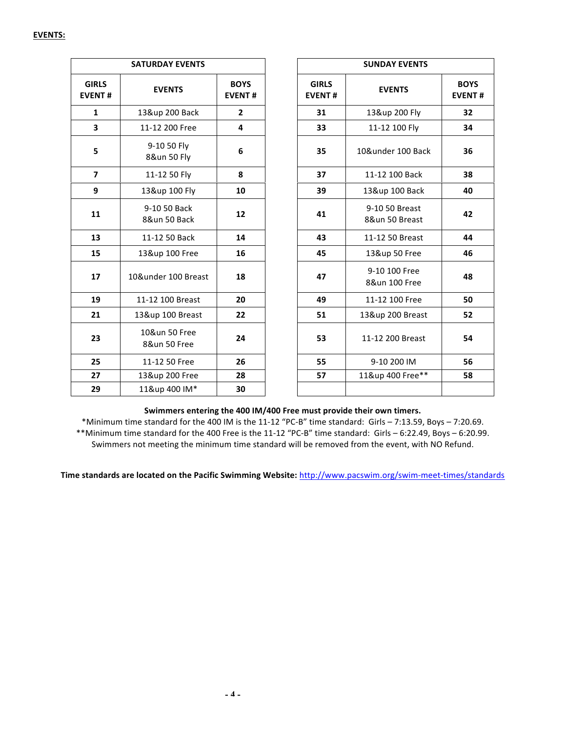|                               | <b>SATURDAY EVENTS</b>        |                              | <b>SUNDAY EVENTS</b>          |                                  |                              |  |  |  |  |  |
|-------------------------------|-------------------------------|------------------------------|-------------------------------|----------------------------------|------------------------------|--|--|--|--|--|
| <b>GIRLS</b><br><b>EVENT#</b> | <b>EVENTS</b>                 | <b>BOYS</b><br><b>EVENT#</b> | <b>GIRLS</b><br><b>EVENT#</b> | <b>EVENTS</b>                    | <b>BOYS</b><br><b>EVENT#</b> |  |  |  |  |  |
| $\mathbf{1}$                  | 13&up 200 Back                | $\overline{2}$               | 31                            | 13&up 200 Fly                    | 32                           |  |  |  |  |  |
| 3                             | 11-12 200 Free                | 4                            | 33                            | 11-12 100 Fly                    | 34                           |  |  |  |  |  |
| 5                             | 9-10 50 Fly<br>8&un 50 Fly    | 6                            | 35                            | 10&under 100 Back                | 36                           |  |  |  |  |  |
| 7                             | 11-12 50 Fly                  | 8                            | 37                            | 11-12 100 Back                   | 38                           |  |  |  |  |  |
| 9                             | 13&up 100 Fly                 | 10                           | 39                            | 13&up 100 Back                   | 40                           |  |  |  |  |  |
| 11                            | 9-10 50 Back<br>8&un 50 Back  | 12                           | 41                            | 9-10 50 Breast<br>8&un 50 Breast | 42                           |  |  |  |  |  |
| 13                            | 11-12 50 Back                 | 14                           | 43                            | 11-12 50 Breast                  | 44                           |  |  |  |  |  |
| 15                            | 13&up 100 Free                | 16                           | 45                            | 13&up 50 Free                    | 46                           |  |  |  |  |  |
| 17                            | 10&under 100 Breast           | 18                           | 47                            | 9-10 100 Free<br>8&un 100 Free   | 48                           |  |  |  |  |  |
| 19                            | 11-12 100 Breast              | 20                           | 49                            | 11-12 100 Free                   | 50                           |  |  |  |  |  |
| 21                            | 13&up 100 Breast              | 22                           | 51                            | 13&up 200 Breast                 | 52                           |  |  |  |  |  |
| 23                            | 10&un 50 Free<br>8&un 50 Free | 24                           | 53                            | 11-12 200 Breast                 | 54                           |  |  |  |  |  |
| 25                            | 11-12 50 Free                 | 26                           | 55                            | 9-10 200 IM                      | 56                           |  |  |  |  |  |
| 27                            | 13&up 200 Free                | 28                           | 57                            | 11&up 400 Free**                 | 58                           |  |  |  |  |  |
| 29                            | 11&up 400 IM*                 | 30                           |                               |                                  |                              |  |  |  |  |  |

# Swimmers entering the 400 IM/400 Free must provide their own timers.

\*Minimum time standard for the 400 IM is the 11-12 "PC-B" time standard: Girls - 7:13.59, Boys - 7:20.69. \*\*Minimum time standard for the 400 Free is the 11-12 "PC-B" time standard: Girls - 6:22.49, Boys - 6:20.99. Swimmers not meeting the minimum time standard will be removed from the event, with NO Refund.

Time standards are located on the Pacific Swimming Website: http://www.pacswim.org/swim-meet-times/standards